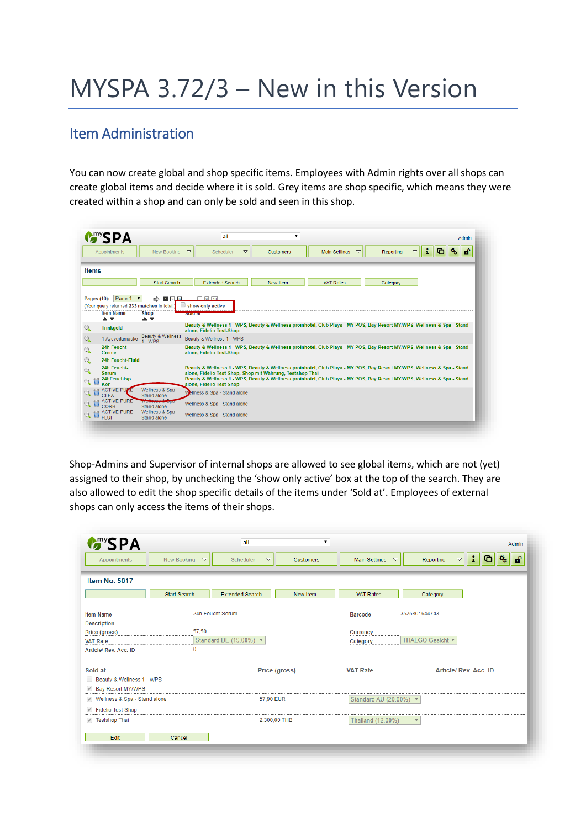# MYSPA 3.72/3 – New in this Version

### Item Administration

You can now create global and shop specific items. Employees with Admin rights over all shops can create global items and decide where it is sold. Grey items are shop specific, which means they were created within a shop and can only be sold and seen in this shop.



Shop-Admins and Supervisor of internal shops are allowed to see global items, which are not (yet) assigned to their shop, by unchecking the 'show only active' box at the top of the search. They are also allowed to edit the shop specific details of the items under 'Sold at'. Employees of external shops can only access the items of their shops.

| <b>Many SPA</b>                               |                                   | all                             | ۷.             |                                     | Admin                                                                   |  |
|-----------------------------------------------|-----------------------------------|---------------------------------|----------------|-------------------------------------|-------------------------------------------------------------------------|--|
| Appointments                                  | New Booking<br>$\bigtriangledown$ | $\bigtriangledown$<br>Scheduler | Customers      | Main Settings<br>$\bigtriangledown$ | $\mathbf{i}$<br>$\bullet$<br>権<br>சி<br>$\bigtriangledown$<br>Reporting |  |
| <b>Item No. 5017</b>                          |                                   |                                 |                |                                     |                                                                         |  |
|                                               | <b>Start Search</b>               | <b>Extended Search</b>          | New Item       | <b>VAT Rates</b>                    | Category                                                                |  |
| <b>Item Name</b>                              | 24h Feucht-Serum                  |                                 | <b>Barcode</b> | 3525801644743                       |                                                                         |  |
| <b>Description</b>                            |                                   |                                 |                |                                     |                                                                         |  |
| Price (gross)                                 | 57,50                             |                                 |                | Currency                            |                                                                         |  |
| <b>VAT Rate</b>                               |                                   | Standard DE (19.00%) ▼          |                | Category                            | THALGO Gesicht                                                          |  |
| Article/ Rev. Acc. ID                         | $\Omega$                          |                                 |                |                                     |                                                                         |  |
| Sold at                                       |                                   | Price (gross)                   |                | <b>VAT Rate</b>                     | Article/ Rev. Acc. ID                                                   |  |
| Beauty & Wellness 1 - WPS                     |                                   |                                 |                |                                     |                                                                         |  |
| Bay Resort MY/WPS<br>$\mathcal{A}$            |                                   |                                 |                |                                     |                                                                         |  |
| Wellness & Spa - Stand alone<br>$\mathcal{A}$ |                                   | 57,90 EUR                       |                | Standard AU (20.00%) ▼              |                                                                         |  |
| <b>Fidelio Test-Shop</b><br>V                 |                                   |                                 |                |                                     |                                                                         |  |
| <b>Testshop Thai</b>                          |                                   | 2.300,00 THB                    |                | Thailand (12.00%)                   | $\overline{\mathbf{v}}$                                                 |  |
| Edit                                          | Cancel                            |                                 |                |                                     |                                                                         |  |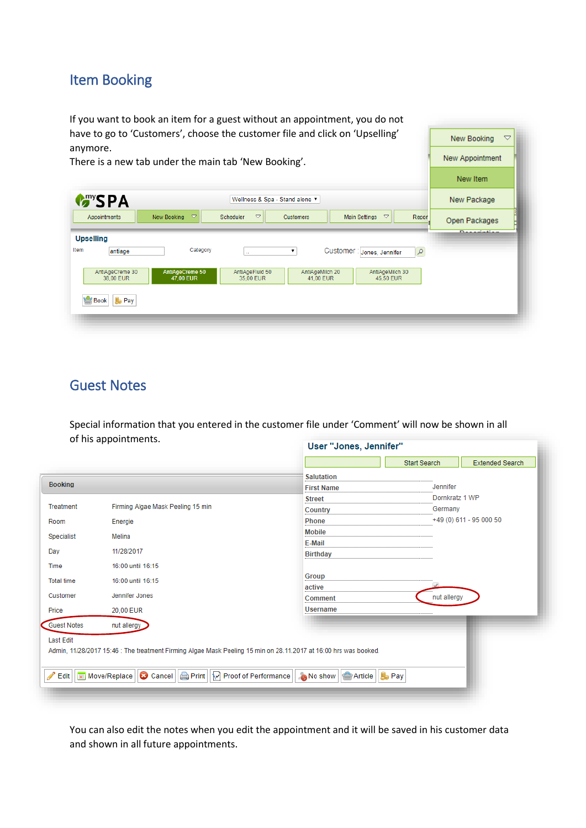# Item Booking

If you want to book an item for a guest without an appointment, you do not have to go to 'Customers', choose the customer file and click on 'Upselling' anymore.

There is a new tab under the main tab 'New Booking'.

|                              |                                   |                                           |                                                              | New Item                        |
|------------------------------|-----------------------------------|-------------------------------------------|--------------------------------------------------------------|---------------------------------|
| <b>MASPA</b>                 |                                   | New Package                               |                                                              |                                 |
| Appointments                 | $\bigtriangledown$<br>New Booking | $\triangledown$<br>Scheduler<br>Customers | Main Settings<br>$\triangledown$<br>Report                   | l<br>Open Packages              |
| <b>Upselling</b>             |                                   |                                           |                                                              | <b>Distances</b> and the second |
| Item<br>antiage              | Category                          | $\mathcal{L}_{\mathcal{A}}$               | Customer : Jones, Jennifer<br>$\mathcal{P}$                  |                                 |
| AntiAgeCreme 30<br>38,00 EUR | AntiAgeCreme 50<br>47,00 EUR      | AntiAgeFluid 50<br>35,00 EUR              | AntiAgeMilch 20<br>AntiAgeMilch 30<br>41,00 EUR<br>45.50 EUR |                                 |
| <b>B</b> Pay<br>Book         |                                   |                                           |                                                              |                                 |
|                              |                                   |                                           |                                                              |                                 |
|                              |                                   |                                           |                                                              |                                 |

New Booking

New Appointment

 $\overline{\phantom{a}}$ 

u.

## Guest Notes

Special information that you entered in the customer file under 'Comment' will now be shown in all of his appointments. User "Jones, Jennifer"

|                    |                                                                                                                                           |                                | <b>Start Search</b> | <b>Extended Search</b>   |  |
|--------------------|-------------------------------------------------------------------------------------------------------------------------------------------|--------------------------------|---------------------|--------------------------|--|
|                    |                                                                                                                                           | <b>Salutation</b>              |                     |                          |  |
| <b>Booking</b>     |                                                                                                                                           | <b>First Name</b>              | Jennifer            |                          |  |
|                    |                                                                                                                                           | <b>Street</b>                  | Dornkratz 1 WP      |                          |  |
| Treatment          | Firming Algae Mask Peeling 15 min                                                                                                         | Country                        | Germany             |                          |  |
| Room               | Energie                                                                                                                                   | <b>Phone</b>                   |                     | $+49(0)$ 611 - 95 000 50 |  |
| Specialist         | Melina                                                                                                                                    | <b>Mobile</b>                  |                     |                          |  |
|                    |                                                                                                                                           | E-Mail                         |                     |                          |  |
| Day                | 11/28/2017                                                                                                                                | <b>Birthday</b>                |                     |                          |  |
| Time               | 16:00 until 16:15                                                                                                                         |                                |                     |                          |  |
| <b>Total time</b>  | 16:00 until 16:15                                                                                                                         | Group                          |                     |                          |  |
|                    |                                                                                                                                           | active                         |                     |                          |  |
| Customer           | Jennifer Jones                                                                                                                            | Comment                        | nut allergy         |                          |  |
| Price              | 20,00 EUR                                                                                                                                 | <b>Username</b>                |                     |                          |  |
| <b>Guest Notes</b> | nut allergy                                                                                                                               |                                |                     |                          |  |
| <b>Last Edit</b>   |                                                                                                                                           |                                |                     |                          |  |
|                    | Admin, 11/28/2017 15:46 : The treatment Firming Algae Mask Peeling 15 min on 28.11.2017 at 16:00 hrs was booked.                          |                                |                     |                          |  |
|                    |                                                                                                                                           |                                |                     |                          |  |
|                    |                                                                                                                                           |                                |                     |                          |  |
|                    | $\blacktriangleright$ Edit $  $ $\blacksquare$ Move/Replace $  \bigodot$ Cancel $  \bigodot$ Print $  \bigodot$ Proof of Performance $  $ | No show Article   <b>B</b> Pay |                     |                          |  |
|                    |                                                                                                                                           |                                |                     |                          |  |

You can also edit the notes when you edit the appointment and it will be saved in his customer data and shown in all future appointments.